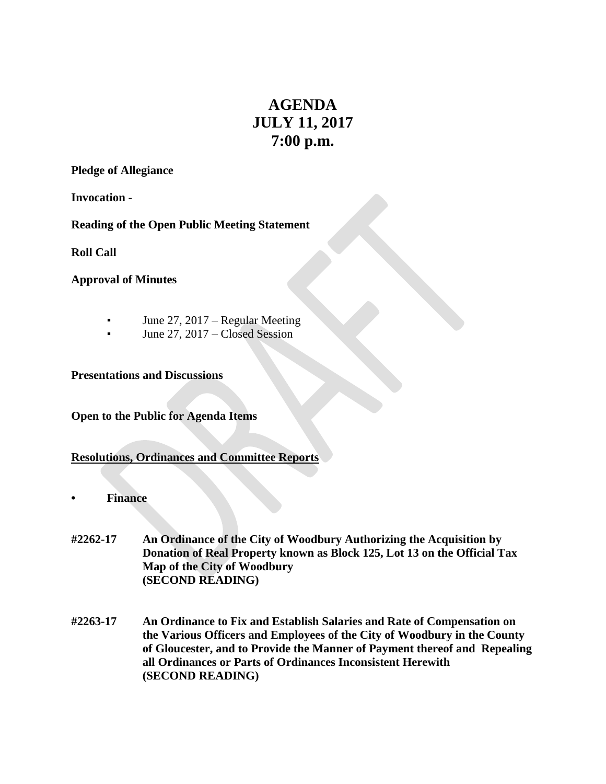# **AGENDA JULY 11, 2017 7:00 p.m.**

#### **Pledge of Allegiance**

**Invocation** -

**Reading of the Open Public Meeting Statement**

**Roll Call**

**Approval of Minutes**

- **•** June 27, 2017 Regular Meeting
- June 27,  $2017$  Closed Session

**Presentations and Discussions**

**Open to the Public for Agenda Items**

#### **Resolutions, Ordinances and Committee Reports**

- **• Finance**
- **#2262-17 An Ordinance of the City of Woodbury Authorizing the Acquisition by Donation of Real Property known as Block 125, Lot 13 on the Official Tax Map of the City of Woodbury (SECOND READING)**
- **#2263-17 An Ordinance to Fix and Establish Salaries and Rate of Compensation on the Various Officers and Employees of the City of Woodbury in the County of Gloucester, and to Provide the Manner of Payment thereof and Repealing all Ordinances or Parts of Ordinances Inconsistent Herewith (SECOND READING)**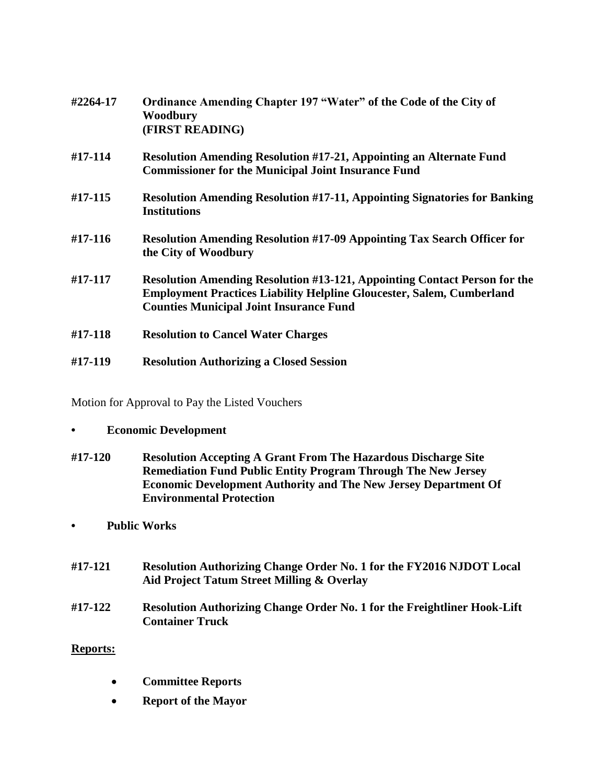| #2264-17 | Ordinance Amending Chapter 197 "Water" of the Code of the City of<br>Woodbury<br>(FIRST READING)                                                                                                                   |
|----------|--------------------------------------------------------------------------------------------------------------------------------------------------------------------------------------------------------------------|
| #17-114  | <b>Resolution Amending Resolution #17-21, Appointing an Alternate Fund</b><br><b>Commissioner for the Municipal Joint Insurance Fund</b>                                                                           |
| #17-115  | <b>Resolution Amending Resolution #17-11, Appointing Signatories for Banking</b><br><b>Institutions</b>                                                                                                            |
| #17-116  | <b>Resolution Amending Resolution #17-09 Appointing Tax Search Officer for</b><br>the City of Woodbury                                                                                                             |
| #17-117  | <b>Resolution Amending Resolution #13-121, Appointing Contact Person for the</b><br><b>Employment Practices Liability Helpline Gloucester, Salem, Cumberland</b><br><b>Counties Municipal Joint Insurance Fund</b> |
| #17-118  | <b>Resolution to Cancel Water Charges</b>                                                                                                                                                                          |
| #17-119  | <b>Resolution Authorizing a Closed Session</b>                                                                                                                                                                     |

Motion for Approval to Pay the Listed Vouchers

## **• Economic Development**

- **#17-120 Resolution Accepting A Grant From The Hazardous Discharge Site Remediation Fund Public Entity Program Through The New Jersey Economic Development Authority and The New Jersey Department Of Environmental Protection**
- **• Public Works**
- **#17-121 Resolution Authorizing Change Order No. 1 for the FY2016 NJDOT Local Aid Project Tatum Street Milling & Overlay**

## **#17-122 Resolution Authorizing Change Order No. 1 for the Freightliner Hook-Lift Container Truck**

## **Reports:**

- **Committee Reports**
- **Report of the Mayor**